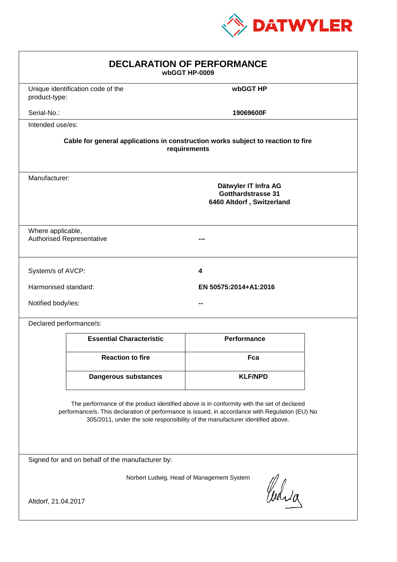

| <b>DECLARATION OF PERFORMANCE</b><br>wbGGT HP-0009                                                                                                                                                                                                                            |                                                                                                  |  |  |  |
|-------------------------------------------------------------------------------------------------------------------------------------------------------------------------------------------------------------------------------------------------------------------------------|--------------------------------------------------------------------------------------------------|--|--|--|
| Unique identification code of the<br>product-type:                                                                                                                                                                                                                            | wbGGT HP                                                                                         |  |  |  |
| Serial-No.:                                                                                                                                                                                                                                                                   | 19069600F                                                                                        |  |  |  |
| Intended use/es:                                                                                                                                                                                                                                                              |                                                                                                  |  |  |  |
|                                                                                                                                                                                                                                                                               | Cable for general applications in construction works subject to reaction to fire<br>requirements |  |  |  |
| Manufacturer:                                                                                                                                                                                                                                                                 | Dätwyler IT Infra AG<br><b>Gotthardstrasse 31</b><br>6460 Altdorf, Switzerland                   |  |  |  |
| Where applicable,<br><b>Authorised Representative</b>                                                                                                                                                                                                                         |                                                                                                  |  |  |  |
| System/s of AVCP:                                                                                                                                                                                                                                                             | 4                                                                                                |  |  |  |
| Harmonised standard:                                                                                                                                                                                                                                                          | EN 50575:2014+A1:2016                                                                            |  |  |  |
| Notified body/ies:                                                                                                                                                                                                                                                            |                                                                                                  |  |  |  |
| Declared performance/s:                                                                                                                                                                                                                                                       |                                                                                                  |  |  |  |
| <b>Essential Characteristic</b>                                                                                                                                                                                                                                               | <b>Performance</b>                                                                               |  |  |  |
| <b>Reaction to fire</b>                                                                                                                                                                                                                                                       | Fca                                                                                              |  |  |  |
| <b>Dangerous substances</b>                                                                                                                                                                                                                                                   | <b>KLF/NPD</b>                                                                                   |  |  |  |
| The performance of the product identified above is in conformity with the set of declared<br>performance/s. This declaration of performance is issued, in accordance with Regulation (EU) No<br>305/2011, under the sole responsibility of the manufacturer identified above. |                                                                                                  |  |  |  |
| Signed for and on behalf of the manufacturer by:                                                                                                                                                                                                                              |                                                                                                  |  |  |  |
| Norbert Ludwig, Head of Management System<br>Curia<br>Altdorf, 21.04.2017                                                                                                                                                                                                     |                                                                                                  |  |  |  |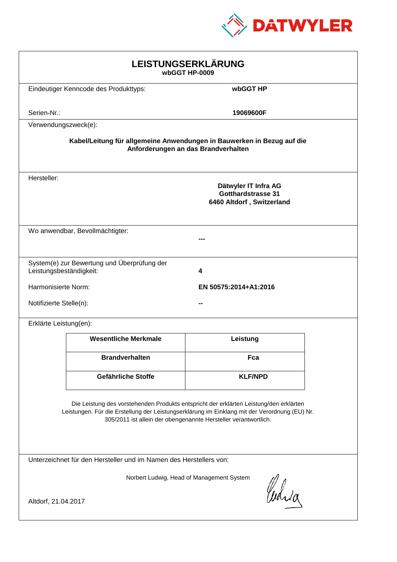

| LEISTUNGSERKLÄRUNG<br>wbGGT HP-0009                                                                                                                                                                                                                        |                                                                        |                                                                                |  |
|------------------------------------------------------------------------------------------------------------------------------------------------------------------------------------------------------------------------------------------------------------|------------------------------------------------------------------------|--------------------------------------------------------------------------------|--|
|                                                                                                                                                                                                                                                            | Eindeutiger Kenncode des Produkttyps:                                  | wbGGT HP                                                                       |  |
| Serien-Nr.:                                                                                                                                                                                                                                                |                                                                        | 19069600F                                                                      |  |
| Verwendungszweck(e):                                                                                                                                                                                                                                       |                                                                        |                                                                                |  |
|                                                                                                                                                                                                                                                            | Kabel/Leitung für allgemeine Anwendungen in Bauwerken in Bezug auf die | Anforderungen an das Brandverhalten                                            |  |
| Hersteller:                                                                                                                                                                                                                                                |                                                                        | Dätwyler IT Infra AG<br><b>Gotthardstrasse 31</b><br>6460 Altdorf, Switzerland |  |
|                                                                                                                                                                                                                                                            | Wo anwendbar, Bevollmächtigter:                                        |                                                                                |  |
| Leistungsbeständigkeit:                                                                                                                                                                                                                                    | System(e) zur Bewertung und Überprüfung der                            | 4                                                                              |  |
| Harmonisierte Norm:                                                                                                                                                                                                                                        |                                                                        | EN 50575:2014+A1:2016                                                          |  |
| Notifizierte Stelle(n):                                                                                                                                                                                                                                    |                                                                        |                                                                                |  |
| Erklärte Leistung(en):                                                                                                                                                                                                                                     |                                                                        |                                                                                |  |
|                                                                                                                                                                                                                                                            | <b>Wesentliche Merkmale</b>                                            | Leistung                                                                       |  |
|                                                                                                                                                                                                                                                            | <b>Brandverhalten</b>                                                  | Fca                                                                            |  |
|                                                                                                                                                                                                                                                            | Gefährliche Stoffe                                                     | <b>KLF/NPD</b>                                                                 |  |
| Die Leistung des vorstehenden Produkts entspricht der erklärten Leistung/den erklärten<br>Leistungen. Für die Erstellung der Leistungserklärung im Einklang mit der Verordnung (EU) Nr.<br>305/2011 ist allein der obengenannte Hersteller verantwortlich. |                                                                        |                                                                                |  |
| Unterzeichnet für den Hersteller und im Namen des Herstellers von:                                                                                                                                                                                         |                                                                        |                                                                                |  |
| Norbert Ludwig, Head of Management System<br>Curia                                                                                                                                                                                                         |                                                                        |                                                                                |  |
| Altdorf, 21.04.2017                                                                                                                                                                                                                                        |                                                                        |                                                                                |  |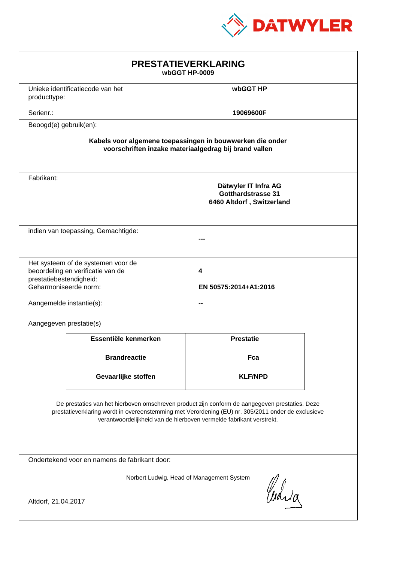

| <b>PRESTATIEVERKLARING</b><br>wbGGT HP-0009                                                                                                                                                                                                                                 |                                                                         |                                                                         |  |
|-----------------------------------------------------------------------------------------------------------------------------------------------------------------------------------------------------------------------------------------------------------------------------|-------------------------------------------------------------------------|-------------------------------------------------------------------------|--|
| producttype:                                                                                                                                                                                                                                                                | Unieke identificatiecode van het                                        | wbGGT HP                                                                |  |
| Serienr.:                                                                                                                                                                                                                                                                   |                                                                         | 19069600F                                                               |  |
| Beoogd(e) gebruik(en):                                                                                                                                                                                                                                                      |                                                                         |                                                                         |  |
| Kabels voor algemene toepassingen in bouwwerken die onder<br>voorschriften inzake materiaalgedrag bij brand vallen                                                                                                                                                          |                                                                         |                                                                         |  |
| Fabrikant:                                                                                                                                                                                                                                                                  |                                                                         | Dätwyler IT Infra AG<br>Gotthardstrasse 31<br>6460 Altdorf, Switzerland |  |
|                                                                                                                                                                                                                                                                             | indien van toepassing, Gemachtigde:                                     |                                                                         |  |
| prestatiebestendigheid:<br>Geharmoniseerde norm:<br>Aangemelde instantie(s):                                                                                                                                                                                                | Het systeem of de systemen voor de<br>beoordeling en verificatie van de | 4<br>EN 50575:2014+A1:2016                                              |  |
| Aangegeven prestatie(s)                                                                                                                                                                                                                                                     |                                                                         |                                                                         |  |
|                                                                                                                                                                                                                                                                             | Essentiële kenmerken                                                    | <b>Prestatie</b>                                                        |  |
|                                                                                                                                                                                                                                                                             | <b>Brandreactie</b>                                                     | Fca                                                                     |  |
|                                                                                                                                                                                                                                                                             | Gevaarlijke stoffen                                                     | <b>KLF/NPD</b>                                                          |  |
| De prestaties van het hierboven omschreven product zijn conform de aangegeven prestaties. Deze<br>prestatieverklaring wordt in overeenstemming met Verordening (EU) nr. 305/2011 onder de exclusieve<br>verantwoordelijkheid van de hierboven vermelde fabrikant verstrekt. |                                                                         |                                                                         |  |
| Ondertekend voor en namens de fabrikant door:                                                                                                                                                                                                                               |                                                                         |                                                                         |  |
| Norbert Ludwig, Head of Management System<br>Curia<br>Altdorf, 21.04.2017                                                                                                                                                                                                   |                                                                         |                                                                         |  |
|                                                                                                                                                                                                                                                                             |                                                                         |                                                                         |  |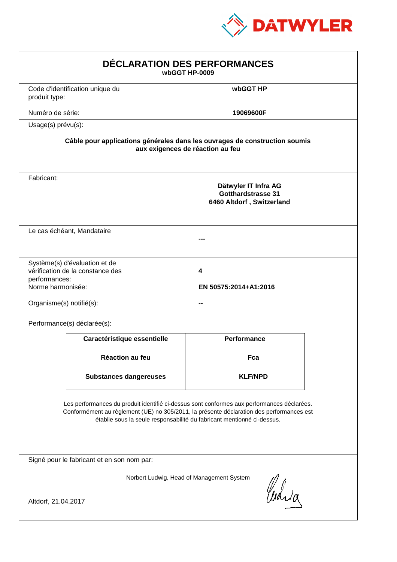

| DÉCLARATION DES PERFORMANCES<br>wbGGT HP-0009                                                                                                                                                                                                                    |                                                                                                                |                                                                                |  |  |
|------------------------------------------------------------------------------------------------------------------------------------------------------------------------------------------------------------------------------------------------------------------|----------------------------------------------------------------------------------------------------------------|--------------------------------------------------------------------------------|--|--|
| produit type:                                                                                                                                                                                                                                                    | Code d'identification unique du                                                                                | wbGGT HP                                                                       |  |  |
| Numéro de série:                                                                                                                                                                                                                                                 |                                                                                                                | 19069600F                                                                      |  |  |
| Usage(s) prévu(s):                                                                                                                                                                                                                                               |                                                                                                                |                                                                                |  |  |
|                                                                                                                                                                                                                                                                  | Câble pour applications générales dans les ouvrages de construction soumis<br>aux exigences de réaction au feu |                                                                                |  |  |
| Fabricant:                                                                                                                                                                                                                                                       |                                                                                                                | Dätwyler IT Infra AG<br><b>Gotthardstrasse 31</b><br>6460 Altdorf, Switzerland |  |  |
|                                                                                                                                                                                                                                                                  | Le cas échéant, Mandataire                                                                                     |                                                                                |  |  |
| performances:<br>Norme harmonisée:<br>Organisme(s) notifié(s):                                                                                                                                                                                                   | Système(s) d'évaluation et de<br>vérification de la constance des                                              | 4<br>EN 50575:2014+A1:2016                                                     |  |  |
|                                                                                                                                                                                                                                                                  | Performance(s) déclarée(s):                                                                                    |                                                                                |  |  |
|                                                                                                                                                                                                                                                                  | Caractéristique essentielle                                                                                    | Performance                                                                    |  |  |
|                                                                                                                                                                                                                                                                  | Réaction au feu                                                                                                | Fca                                                                            |  |  |
|                                                                                                                                                                                                                                                                  | <b>Substances dangereuses</b>                                                                                  | <b>KLF/NPD</b>                                                                 |  |  |
| Les performances du produit identifié ci-dessus sont conformes aux performances déclarées.<br>Conformément au règlement (UE) no 305/2011, la présente déclaration des performances est<br>établie sous la seule responsabilité du fabricant mentionné ci-dessus. |                                                                                                                |                                                                                |  |  |
| Signé pour le fabricant et en son nom par:                                                                                                                                                                                                                       |                                                                                                                |                                                                                |  |  |
| Norbert Ludwig, Head of Management System<br>Curia<br>Altdorf, 21.04.2017                                                                                                                                                                                        |                                                                                                                |                                                                                |  |  |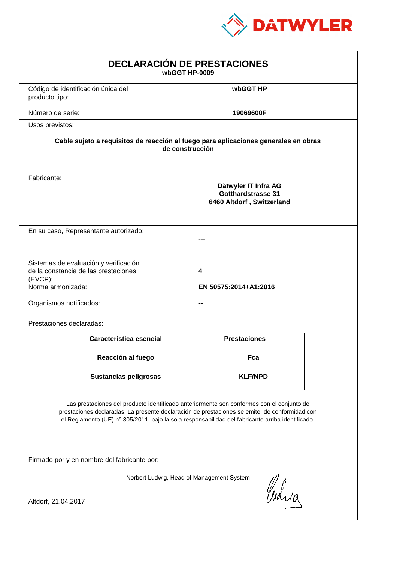

| <b>DECLARACIÓN DE PRESTACIONES</b><br>wbGGT HP-0009                                                                                                                                                                                                                                            |                                                                                                        |                                                                         |  |  |
|------------------------------------------------------------------------------------------------------------------------------------------------------------------------------------------------------------------------------------------------------------------------------------------------|--------------------------------------------------------------------------------------------------------|-------------------------------------------------------------------------|--|--|
| producto tipo:                                                                                                                                                                                                                                                                                 | Código de identificación única del                                                                     | wbGGT HP                                                                |  |  |
| Número de serie:                                                                                                                                                                                                                                                                               |                                                                                                        | 19069600F                                                               |  |  |
| Usos previstos:                                                                                                                                                                                                                                                                                |                                                                                                        |                                                                         |  |  |
|                                                                                                                                                                                                                                                                                                | Cable sujeto a requisitos de reacción al fuego para aplicaciones generales en obras<br>de construcción |                                                                         |  |  |
| Fabricante:                                                                                                                                                                                                                                                                                    |                                                                                                        | Dätwyler IT Infra AG<br>Gotthardstrasse 31<br>6460 Altdorf, Switzerland |  |  |
|                                                                                                                                                                                                                                                                                                | En su caso, Representante autorizado:                                                                  |                                                                         |  |  |
| (EVCP):<br>Norma armonizada:<br>Organismos notificados:                                                                                                                                                                                                                                        | Sistemas de evaluación y verificación<br>de la constancia de las prestaciones                          | 4<br>EN 50575:2014+A1:2016                                              |  |  |
|                                                                                                                                                                                                                                                                                                | Prestaciones declaradas:                                                                               |                                                                         |  |  |
|                                                                                                                                                                                                                                                                                                | Característica esencial                                                                                | <b>Prestaciones</b>                                                     |  |  |
|                                                                                                                                                                                                                                                                                                | Reacción al fuego                                                                                      | Fca                                                                     |  |  |
|                                                                                                                                                                                                                                                                                                | Sustancias peligrosas                                                                                  | <b>KLF/NPD</b>                                                          |  |  |
| Las prestaciones del producto identificado anteriormente son conformes con el conjunto de<br>prestaciones declaradas. La presente declaración de prestaciones se emite, de conformidad con<br>el Reglamento (UE) nº 305/2011, bajo la sola responsabilidad del fabricante arriba identificado. |                                                                                                        |                                                                         |  |  |
|                                                                                                                                                                                                                                                                                                | Firmado por y en nombre del fabricante por:                                                            |                                                                         |  |  |
| Norbert Ludwig, Head of Management System<br>Curia<br>Altdorf, 21.04.2017                                                                                                                                                                                                                      |                                                                                                        |                                                                         |  |  |